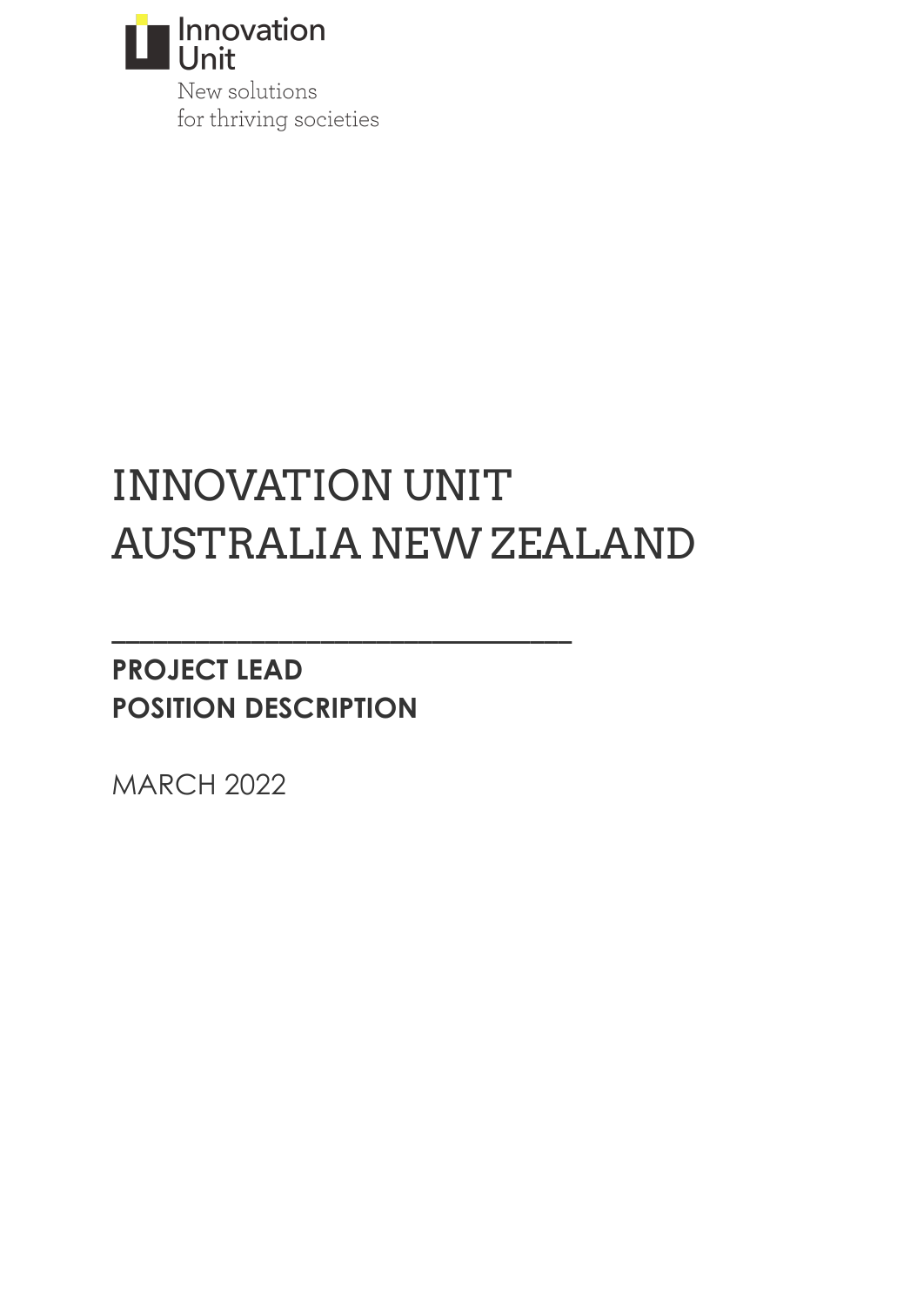

New solutions for thriving societies

# INNOVATION UNIT AUSTRALIA NEW ZEALAND

**\_\_\_\_\_\_\_\_\_\_\_\_\_\_\_\_\_\_\_\_\_\_\_\_\_\_\_\_\_\_\_\_\_**

# **PROJECT LEAD POSITION DESCRIPTION**

MARCH 2022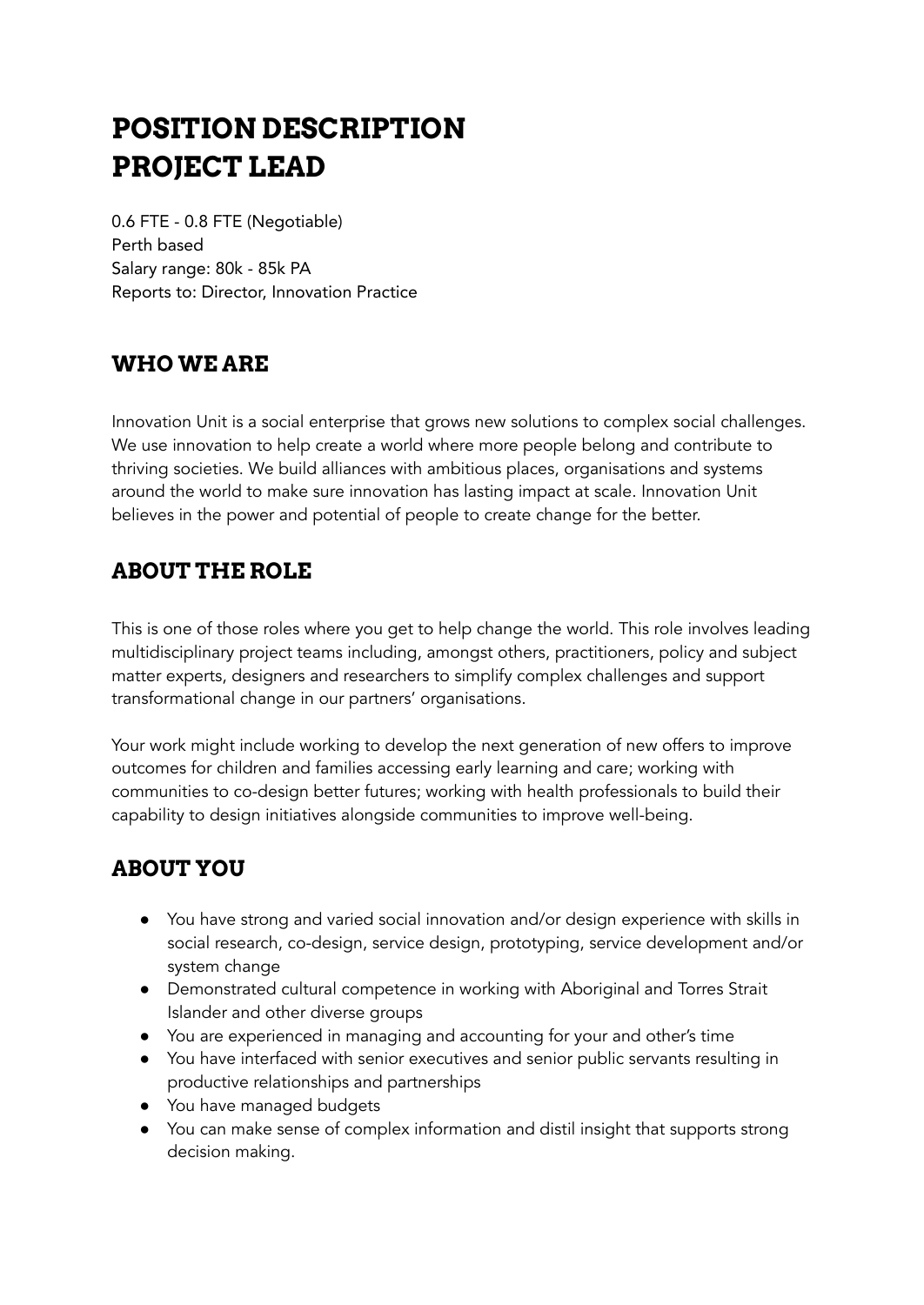# **POSITION DESCRIPTION PROJECT LEAD**

0.6 FTE - 0.8 FTE (Negotiable) Perth based Salary range: 80k - 85k PA Reports to: Director, Innovation Practice

## **WHO WE ARE**

Innovation Unit is a social enterprise that grows new solutions to complex social challenges. We use innovation to help create a world where more people belong and contribute to thriving societies. We build alliances with ambitious places, organisations and systems around the world to make sure innovation has lasting impact at scale. Innovation Unit believes in the power and potential of people to create change for the better.

# **ABOUT THE ROLE**

This is one of those roles where you get to help change the world. This role involves leading multidisciplinary project teams including, amongst others, practitioners, policy and subject matter experts, designers and researchers to simplify complex challenges and support transformational change in our partners' organisations.

Your work might include working to develop the next generation of new offers to improve outcomes for children and families accessing early learning and care; working with communities to co-design better futures; working with health professionals to build their capability to design initiatives alongside communities to improve well-being.

# **ABOUT YOU**

- You have strong and varied social innovation and/or design experience with skills in social research, co-design, service design, prototyping, service development and/or system change
- Demonstrated cultural competence in working with Aboriginal and Torres Strait Islander and other diverse groups
- You are experienced in managing and accounting for your and other's time
- You have interfaced with senior executives and senior public servants resulting in productive relationships and partnerships
- You have managed budgets
- You can make sense of complex information and distil insight that supports strong decision making.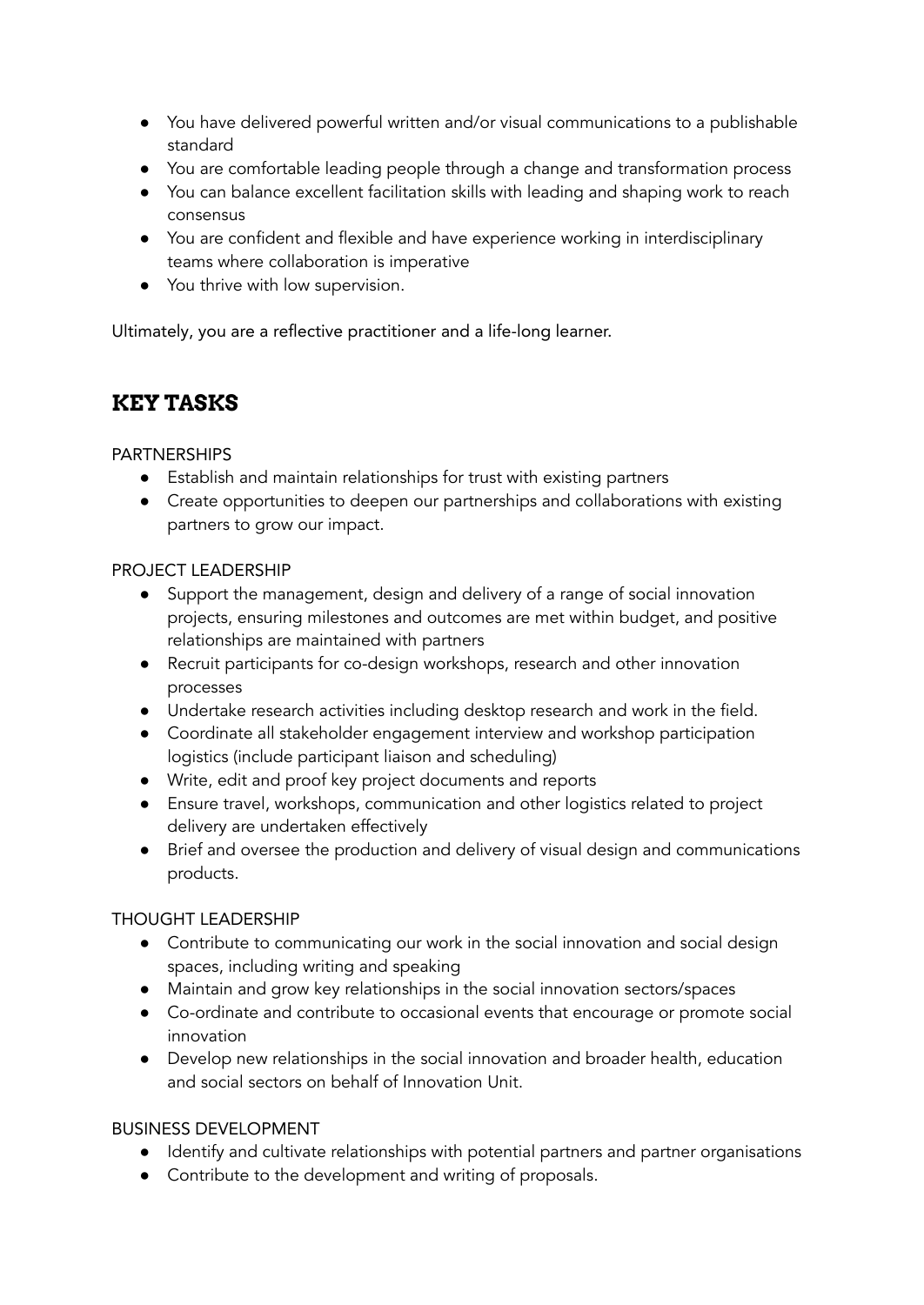- You have delivered powerful written and/or visual communications to a publishable standard
- You are comfortable leading people through a change and transformation process
- You can balance excellent facilitation skills with leading and shaping work to reach consensus
- You are confident and flexible and have experience working in interdisciplinary teams where collaboration is imperative
- You thrive with low supervision.

Ultimately, you are a reflective practitioner and a life-long learner.

## **KEY TASKS**

#### PARTNERSHIPS

- Establish and maintain relationships for trust with existing partners
- Create opportunities to deepen our partnerships and collaborations with existing partners to grow our impact.

#### PROJECT LEADERSHIP

- Support the management, design and delivery of a range of social innovation projects, ensuring milestones and outcomes are met within budget, and positive relationships are maintained with partners
- Recruit participants for co-design workshops, research and other innovation processes
- Undertake research activities including desktop research and work in the field.
- Coordinate all stakeholder engagement interview and workshop participation logistics (include participant liaison and scheduling)
- Write, edit and proof key project documents and reports
- Ensure travel, workshops, communication and other logistics related to project delivery are undertaken effectively
- Brief and oversee the production and delivery of visual design and communications products.

### THOUGHT LEADERSHIP

- Contribute to communicating our work in the social innovation and social design spaces, including writing and speaking
- Maintain and grow key relationships in the social innovation sectors/spaces
- Co-ordinate and contribute to occasional events that encourage or promote social innovation
- Develop new relationships in the social innovation and broader health, education and social sectors on behalf of Innovation Unit.

### BUSINESS DEVELOPMENT

- Identify and cultivate relationships with potential partners and partner organisations
- Contribute to the development and writing of proposals.